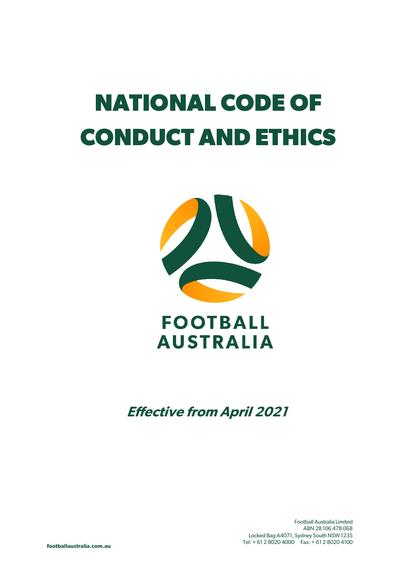# **NATIONAL CODE OF CONDUCT AND ETHICS**



## **FOOTBALL AUSTRALIA**

**Effective from April 2021**

Football Australia Limited ABN 28 106 478 068 Locked Bag A4071, Sydney South NSW 1235 Tel: + 61 2 8020 4000 Fax: + 61 2 8020 4100

**footballaustralia.com.au**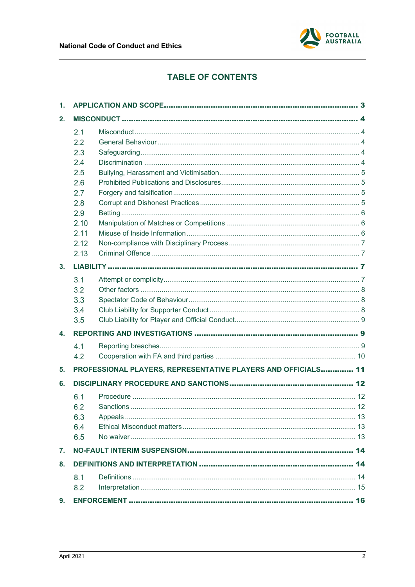

## **TABLE OF CONTENTS**

| $\mathbf 1$ . |      |                                                               |  |
|---------------|------|---------------------------------------------------------------|--|
| 2.            |      |                                                               |  |
|               | 2.1  |                                                               |  |
|               | 2.2  |                                                               |  |
|               | 2.3  |                                                               |  |
|               | 2.4  |                                                               |  |
|               | 2.5  |                                                               |  |
|               | 2.6  |                                                               |  |
|               | 2.7  |                                                               |  |
|               | 2.8  |                                                               |  |
|               | 2.9  |                                                               |  |
|               | 2.10 |                                                               |  |
|               | 2.11 |                                                               |  |
|               | 2.12 |                                                               |  |
|               | 2.13 |                                                               |  |
| 3.            |      |                                                               |  |
|               | 3.1  |                                                               |  |
|               | 3.2  |                                                               |  |
|               | 3.3  |                                                               |  |
|               | 3.4  |                                                               |  |
|               | 3.5  |                                                               |  |
| 4.            |      |                                                               |  |
|               | 4.1  |                                                               |  |
|               | 4.2  |                                                               |  |
| 5.            |      | PROFESSIONAL PLAYERS, REPRESENTATIVE PLAYERS AND OFFICIALS 11 |  |
| 6.            |      |                                                               |  |
|               | 6.1  |                                                               |  |
|               | 6.2  |                                                               |  |
|               | 6.3  |                                                               |  |
|               | 6.4  |                                                               |  |
|               | 6.5  |                                                               |  |
| 7.            |      |                                                               |  |
| 8.            |      |                                                               |  |
|               | 8.1  |                                                               |  |
|               | 8.2  |                                                               |  |
|               |      |                                                               |  |
| 9.            |      |                                                               |  |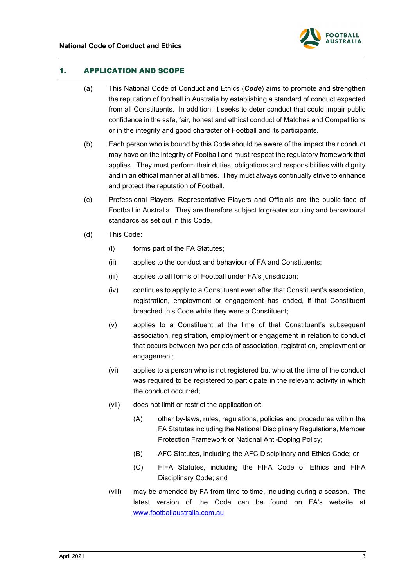

## <span id="page-2-1"></span><span id="page-2-0"></span>1. APPLICATION AND SCOPE

- (a) This National Code of Conduct and Ethics (*Code*) aims to promote and strengthen the reputation of football in Australia by establishing a standard of conduct expected from all Constituents. In addition, it seeks to deter conduct that could impair public confidence in the safe, fair, honest and ethical conduct of Matches and Competitions or in the integrity and good character of Football and its participants.
- (b) Each person who is bound by this Code should be aware of the impact their conduct may have on the integrity of Football and must respect the regulatory framework that applies. They must perform their duties, obligations and responsibilities with dignity and in an ethical manner at all times. They must always continually strive to enhance and protect the reputation of Football.
- (c) Professional Players, Representative Players and Officials are the public face of Football in Australia. They are therefore subject to greater scrutiny and behavioural standards as set out in this Code.
- (d) This Code:
	- (i) forms part of the FA Statutes;
	- (ii) applies to the conduct and behaviour of FA and Constituents;
	- (iii) applies to all forms of Football under FA's jurisdiction;
	- (iv) continues to apply to a Constituent even after that Constituent's association, registration, employment or engagement has ended, if that Constituent breached this Code while they were a Constituent;
	- (v) applies to a Constituent at the time of that Constituent's subsequent association, registration, employment or engagement in relation to conduct that occurs between two periods of association, registration, employment or engagement;
	- (vi) applies to a person who is not registered but who at the time of the conduct was required to be registered to participate in the relevant activity in which the conduct occurred;
	- (vii) does not limit or restrict the application of:
		- (A) other by-laws, rules, regulations, policies and procedures within the FA Statutes including the National Disciplinary Regulations, Member Protection Framework or National Anti-Doping Policy;
		- (B) AFC Statutes, including the AFC Disciplinary and Ethics Code; or
		- (C) FIFA Statutes, including the FIFA Code of Ethics and FIFA Disciplinary Code; and
	- (viii) may be amended by FA from time to time, including during a season. The latest version of the Code can be found on FA's website at [www.footballaustralia.com.au.](http://www.footballaustralia.com.au/)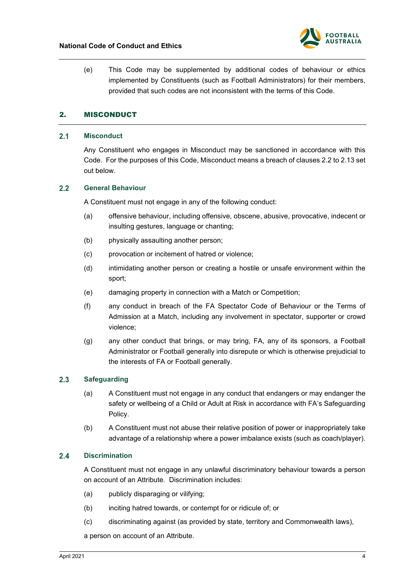

(e) This Code may be supplemented by additional codes of behaviour or ethics implemented by Constituents (such as Football Administrators) for their members, provided that such codes are not inconsistent with the terms of this Code.

## <span id="page-3-0"></span>2. MISCONDUCT

#### <span id="page-3-1"></span> $2.1$ **Misconduct**

Any Constituent who engages in Misconduct may be sanctioned in accordance with this Code. For the purposes of this Code, Misconduct means a breach of clauses [2.2](#page-3-2) to [2.13](#page-6-1) set out below.

#### <span id="page-3-2"></span> $2.2$ **General Behaviour**

A Constituent must not engage in any of the following conduct:

- (a) offensive behaviour, including offensive, obscene, abusive, provocative, indecent or insulting gestures, language or chanting;
- (b) physically assaulting another person;
- (c) provocation or incitement of hatred or violence;
- (d) intimidating another person or creating a hostile or unsafe environment within the sport;
- (e) damaging property in connection with a Match or Competition;
- (f) any conduct in breach of the FA Spectator Code of Behaviour or the Terms of Admission at a Match, including any involvement in spectator, supporter or crowd violence;
- (g) any other conduct that brings, or may bring, FA, any of its sponsors, a Football Administrator or Football generally into disrepute or which is otherwise prejudicial to the interests of FA or Football generally.

#### <span id="page-3-3"></span> $2.3$ **Safeguarding**

- (a) A Constituent must not engage in any conduct that endangers or may endanger the safety or wellbeing of a Child or Adult at Risk in accordance with FA's Safeguarding Policy.
- (b) A Constituent must not abuse their relative position of power or inappropriately take advantage of a relationship where a power imbalance exists (such as coach/player).

#### <span id="page-3-4"></span> $2.4$ **Discrimination**

A Constituent must not engage in any unlawful discriminatory behaviour towards a person on account of an Attribute. Discrimination includes:

- (a) publicly disparaging or vilifying;
- (b) inciting hatred towards, or contempt for or ridicule of; or
- (c) discriminating against (as provided by state, territory and Commonwealth laws),

a person on account of an Attribute.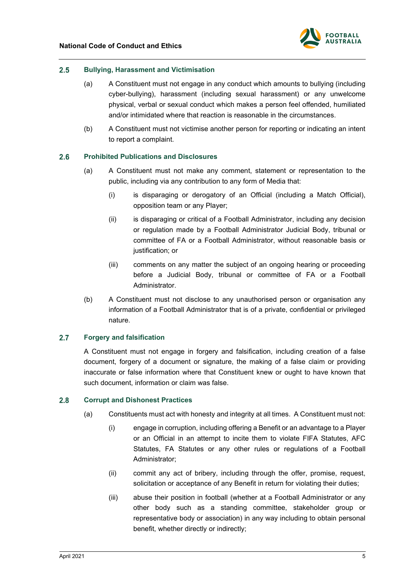

#### <span id="page-4-0"></span> $2.5$ **Bullying, Harassment and Victimisation**

- (a) A Constituent must not engage in any conduct which amounts to bullying (including cyber-bullying), harassment (including sexual harassment) or any unwelcome physical, verbal or sexual conduct which makes a person feel offended, humiliated and/or intimidated where that reaction is reasonable in the circumstances.
- (b) A Constituent must not victimise another person for reporting or indicating an intent to report a complaint.

#### <span id="page-4-1"></span> $2.6$ **Prohibited Publications and Disclosures**

- (a) A Constituent must not make any comment, statement or representation to the public, including via any contribution to any form of Media that:
	- (i) is disparaging or derogatory of an Official (including a Match Official), opposition team or any Player;
	- (ii) is disparaging or critical of a Football Administrator, including any decision or regulation made by a Football Administrator Judicial Body, tribunal or committee of FA or a Football Administrator, without reasonable basis or justification; or
	- (iii) comments on any matter the subject of an ongoing hearing or proceeding before a Judicial Body, tribunal or committee of FA or a Football Administrator.
- (b) A Constituent must not disclose to any unauthorised person or organisation any information of a Football Administrator that is of a private, confidential or privileged nature.

#### <span id="page-4-2"></span> $2.7$ **Forgery and falsification**

A Constituent must not engage in forgery and falsification, including creation of a false document, forgery of a document or signature, the making of a false claim or providing inaccurate or false information where that Constituent knew or ought to have known that such document, information or claim was false.

#### <span id="page-4-3"></span> $2.8$ **Corrupt and Dishonest Practices**

- (a) Constituents must act with honesty and integrity at all times. A Constituent must not:
	- (i) engage in corruption, including offering a Benefit or an advantage to a Player or an Official in an attempt to incite them to violate FIFA Statutes, AFC Statutes, FA Statutes or any other rules or regulations of a Football Administrator;
	- (ii) commit any act of bribery, including through the offer, promise, request, solicitation or acceptance of any Benefit in return for violating their duties;
	- (iii) abuse their position in football (whether at a Football Administrator or any other body such as a standing committee, stakeholder group or representative body or association) in any way including to obtain personal benefit, whether directly or indirectly;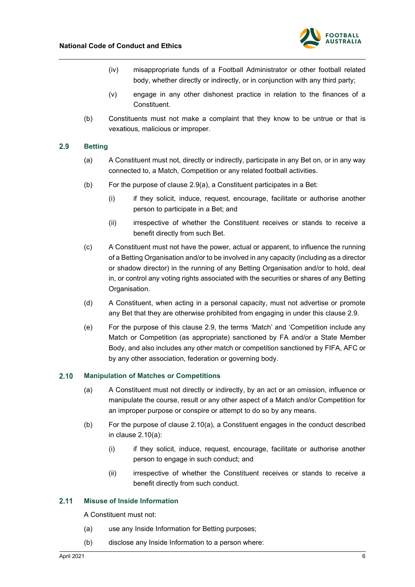

- (iv) misappropriate funds of a Football Administrator or other football related body, whether directly or indirectly, or in conjunction with any third party;
- (v) engage in any other dishonest practice in relation to the finances of a **Constituent.**
- (b) Constituents must not make a complaint that they know to be untrue or that is vexatious, malicious or improper.

#### <span id="page-5-3"></span><span id="page-5-0"></span> $2.9$ **Betting**

- (a) A Constituent must not, directly or indirectly, participate in any Bet on, or in any way connected to, a Match, Competition or any related football activities.
- (b) For the purpose of clause [2.9\(a\),](#page-5-3) a Constituent participates in a Bet:
	- (i) if they solicit, induce, request, encourage, facilitate or authorise another person to participate in a Bet; and
	- (ii) irrespective of whether the Constituent receives or stands to receive a benefit directly from such Bet.
- (c) A Constituent must not have the power, actual or apparent, to influence the running of a Betting Organisation and/or to be involved in any capacity (including as a director or shadow director) in the running of any Betting Organisation and/or to hold, deal in, or control any voting rights associated with the securities or shares of any Betting Organisation.
- (d) A Constituent, when acting in a personal capacity, must not advertise or promote any Bet that they are otherwise prohibited from engaging in under this clause [2.9.](#page-5-0)
- (e) For the purpose of this clause [2.9,](#page-5-0) the terms 'Match' and 'Competition include any Match or Competition (as appropriate) sanctioned by FA and/or a State Member Body, and also includes any other match or competition sanctioned by FIFA, AFC or by any other association, federation or governing body.

#### <span id="page-5-4"></span><span id="page-5-1"></span> $2.10$ **Manipulation of Matches or Competitions**

- (a) A Constituent must not directly or indirectly, by an act or an omission, influence or manipulate the course, result or any other aspect of a Match and/or Competition for an improper purpose or conspire or attempt to do so by any means.
- (b) For the purpose of clause [2.10\(a\),](#page-5-4) a Constituent engages in the conduct described in clause [2.10\(a\):](#page-5-4)
	- (i) if they solicit, induce, request, encourage, facilitate or authorise another person to engage in such conduct; and
	- (ii) irrespective of whether the Constituent receives or stands to receive a benefit directly from such conduct.

#### <span id="page-5-2"></span> $2.11$ **Misuse of Inside Information**

A Constituent must not:

- (a) use any Inside Information for Betting purposes;
- (b) disclose any Inside Information to a person where: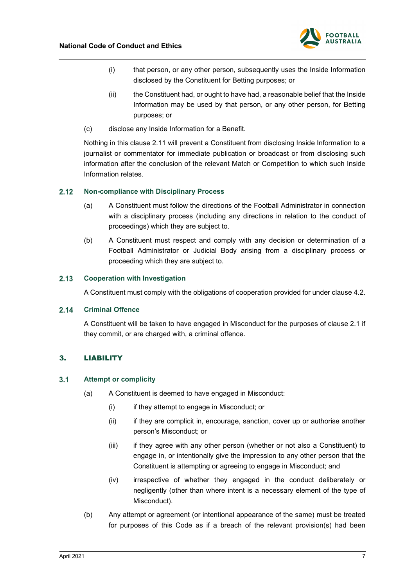

- (i) that person, or any other person, subsequently uses the Inside Information disclosed by the Constituent for Betting purposes; or
- (ii) the Constituent had, or ought to have had, a reasonable belief that the Inside Information may be used by that person, or any other person, for Betting purposes; or
- (c) disclose any Inside Information for a Benefit.

Nothing in this clause [2.11](#page-5-2) will prevent a Constituent from disclosing Inside Information to a journalist or commentator for immediate publication or broadcast or from disclosing such information after the conclusion of the relevant Match or Competition to which such Inside Information relates.

#### <span id="page-6-0"></span> $2.12$ **Non-compliance with Disciplinary Process**

- (a) A Constituent must follow the directions of the Football Administrator in connection with a disciplinary process (including any directions in relation to the conduct of proceedings) which they are subject to.
- (b) A Constituent must respect and comply with any decision or determination of a Football Administrator or Judicial Body arising from a disciplinary process or proceeding which they are subject to.

#### <span id="page-6-1"></span> $2.13$ **Cooperation with Investigation**

A Constituent must comply with the obligations of cooperation provided for under clause [4.2.](#page-9-0)

#### $2.14$ **Criminal Offence**

A Constituent will be taken to have engaged in Misconduct for the purposes of clause 2.1 if they commit, or are charged with, a criminal offence.

## <span id="page-6-2"></span>3. LIABILITY

#### <span id="page-6-3"></span> $3.1$ **Attempt or complicity**

- (a) A Constituent is deemed to have engaged in Misconduct:
	- (i) if they attempt to engage in Misconduct; or
	- (ii) if they are complicit in, encourage, sanction, cover up or authorise another person's Misconduct; or
	- (iii) if they agree with any other person (whether or not also a Constituent) to engage in, or intentionally give the impression to any other person that the Constituent is attempting or agreeing to engage in Misconduct; and
	- (iv) irrespective of whether they engaged in the conduct deliberately or negligently (other than where intent is a necessary element of the type of Misconduct).
- (b) Any attempt or agreement (or intentional appearance of the same) must be treated for purposes of this Code as if a breach of the relevant provision(s) had been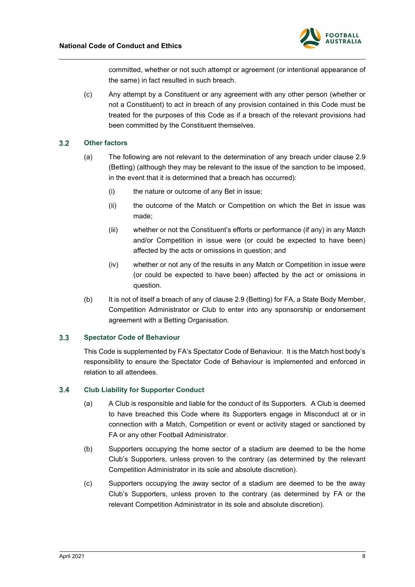

committed, whether or not such attempt or agreement (or intentional appearance of the same) in fact resulted in such breach.

(c) Any attempt by a Constituent or any agreement with any other person (whether or not a Constituent) to act in breach of any provision contained in this Code must be treated for the purposes of this Code as if a breach of the relevant provisions had been committed by the Constituent themselves.

#### <span id="page-7-0"></span> $3.2$ **Other factors**

- (a) The following are not relevant to the determination of any breach under clause [2.9](#page-5-0) (Betting) (although they may be relevant to the issue of the sanction to be imposed, in the event that it is determined that a breach has occurred):
	- (i) the nature or outcome of any Bet in issue;
	- (ii) the outcome of the Match or Competition on which the Bet in issue was made;
	- (iii) whether or not the Constituent's efforts or performance (if any) in any Match and/or Competition in issue were (or could be expected to have been) affected by the acts or omissions in question; and
	- (iv) whether or not any of the results in any Match or Competition in issue were (or could be expected to have been) affected by the act or omissions in question.
- (b) It is not of itself a breach of any of clause [2.9](#page-5-0) (Betting) for FA, a State Body Member, Competition Administrator or Club to enter into any sponsorship or endorsement agreement with a Betting Organisation.

#### <span id="page-7-1"></span> $3.3$ **Spectator Code of Behaviour**

This Code is supplemented by FA's Spectator Code of Behaviour. It is the Match host body's responsibility to ensure the Spectator Code of Behaviour is implemented and enforced in relation to all attendees.

#### <span id="page-7-2"></span> $3.4$ **Club Liability for Supporter Conduct**

- (a) A Club is responsible and liable for the conduct of its Supporters. A Club is deemed to have breached this Code where its Supporters engage in Misconduct at or in connection with a Match, Competition or event or activity staged or sanctioned by FA or any other Football Administrator.
- (b) Supporters occupying the home sector of a stadium are deemed to be the home Club's Supporters, unless proven to the contrary (as determined by the relevant Competition Administrator in its sole and absolute discretion).
- (c) Supporters occupying the away sector of a stadium are deemed to be the away Club's Supporters, unless proven to the contrary (as determined by FA or the relevant Competition Administrator in its sole and absolute discretion).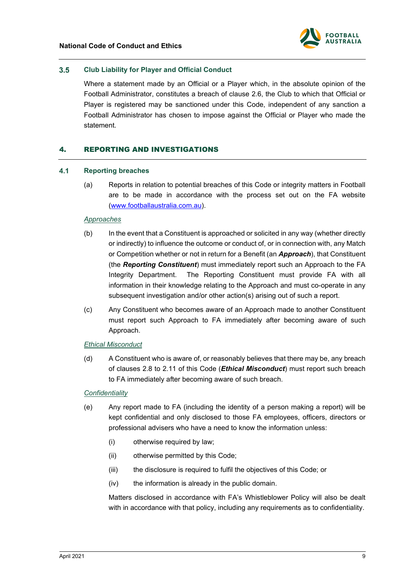

#### <span id="page-8-0"></span> $3.5$ **Club Liability for Player and Official Conduct**

Where a statement made by an Official or a Player which, in the absolute opinion of the Football Administrator, constitutes a breach of clause [2.6,](#page-4-1) the Club to which that Official or Player is registered may be sanctioned under this Code, independent of any sanction a Football Administrator has chosen to impose against the Official or Player who made the statement.

## <span id="page-8-1"></span>4. REPORTING AND INVESTIGATIONS

#### <span id="page-8-2"></span> $4.1$ **Reporting breaches**

(a) Reports in relation to potential breaches of this Code or integrity matters in Football are to be made in accordance with the process set out on the FA website [\(www.footballaustralia.com.au\)](http://www.footballaustralia.com.au/).

## *Approaches*

- <span id="page-8-3"></span>(b) In the event that a Constituent is approached or solicited in any way (whether directly or indirectly) to influence the outcome or conduct of, or in connection with, any Match or Competition whether or not in return for a Benefit (an *Approach*), that Constituent (the *Reporting Constituent*) must immediately report such an Approach to the FA Integrity Department. The Reporting Constituent must provide FA with all information in their knowledge relating to the Approach and must co-operate in any subsequent investigation and/or other action(s) arising out of such a report.
- (c) Any Constituent who becomes aware of an Approach made to another Constituent must report such Approach to FA immediately after becoming aware of such Approach.

## *Ethical Misconduct*

<span id="page-8-4"></span>(d) A Constituent who is aware of, or reasonably believes that there may be, any breach of clauses [2.8](#page-4-3) to [2.11](#page-5-2) of this Code (*Ethical Misconduct*) must report such breach to FA immediately after becoming aware of such breach.

## *Confidentiality*

- (e) Any report made to FA (including the identity of a person making a report) will be kept confidential and only disclosed to those FA employees, officers, directors or professional advisers who have a need to know the information unless:
	- (i) otherwise required by law;
	- (ii) otherwise permitted by this Code;
	- (iii) the disclosure is required to fulfil the objectives of this Code; or
	- (iv) the information is already in the public domain.

Matters disclosed in accordance with FA's Whistleblower Policy will also be dealt with in accordance with that policy, including any requirements as to confidentiality.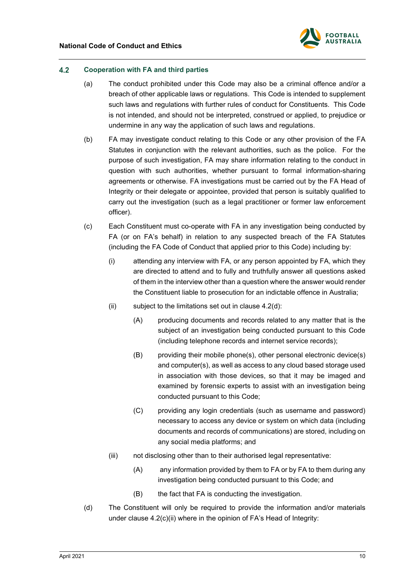

#### <span id="page-9-0"></span> $4.2$ **Cooperation with FA and third parties**

- (a) The conduct prohibited under this Code may also be a criminal offence and/or a breach of other applicable laws or regulations. This Code is intended to supplement such laws and regulations with further rules of conduct for Constituents. This Code is not intended, and should not be interpreted, construed or applied, to prejudice or undermine in any way the application of such laws and regulations.
- (b) FA may investigate conduct relating to this Code or any other provision of the FA Statutes in conjunction with the relevant authorities, such as the police. For the purpose of such investigation, FA may share information relating to the conduct in question with such authorities, whether pursuant to formal information-sharing agreements or otherwise. FA investigations must be carried out by the FA Head of Integrity or their delegate or appointee, provided that person is suitably qualified to carry out the investigation (such as a legal practitioner or former law enforcement officer).
- <span id="page-9-3"></span><span id="page-9-2"></span>(c) Each Constituent must co-operate with FA in any investigation being conducted by FA (or on FA's behalf) in relation to any suspected breach of the FA Statutes (including the FA Code of Conduct that applied prior to this Code) including by:
	- (i) attending any interview with FA, or any person appointed by FA, which they are directed to attend and to fully and truthfully answer all questions asked of them in the interview other than a question where the answer would render the Constituent liable to prosecution for an indictable offence in Australia;
	- (ii) subject to the limitations set out in clause [4.2\(d\):](#page-9-1)
		- (A) producing documents and records related to any matter that is the subject of an investigation being conducted pursuant to this Code (including telephone records and internet service records);
		- (B) providing their mobile phone(s), other personal electronic device(s) and computer(s), as well as access to any cloud based storage used in association with those devices, so that it may be imaged and examined by forensic experts to assist with an investigation being conducted pursuant to this Code;
		- (C) providing any login credentials (such as username and password) necessary to access any device or system on which data (including documents and records of communications) are stored, including on any social media platforms; and
	- (iii) not disclosing other than to their authorised legal representative:
		- (A) any information provided by them to FA or by FA to them during any investigation being conducted pursuant to this Code; and
		- (B) the fact that FA is conducting the investigation.
- <span id="page-9-1"></span>(d) The Constituent will only be required to provide the information and/or materials under clause [4.2\(c\)\(ii\)](#page-9-2) where in the opinion of FA's Head of Integrity: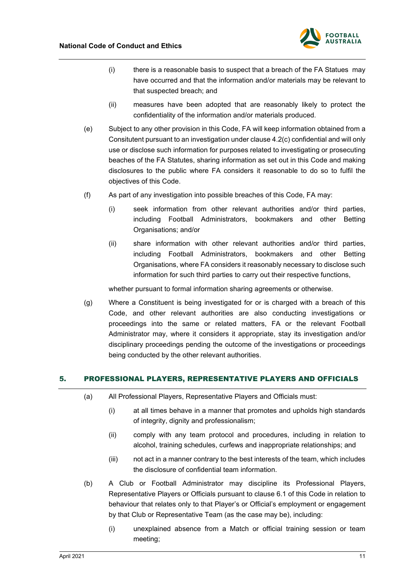

- (i) there is a reasonable basis to suspect that a breach of the FA Statues may have occurred and that the information and/or materials may be relevant to that suspected breach; and
- (ii) measures have been adopted that are reasonably likely to protect the confidentiality of the information and/or materials produced.
- (e) Subject to any other provision in this Code, FA will keep information obtained from a Consitutent pursuant to an investigation under claus[e 4.2\(c\)](#page-9-3) confidential and will only use or disclose such information for purposes related to investigating or prosecuting beaches of the FA Statutes, sharing information as set out in this Code and making disclosures to the public where FA considers it reasonable to do so to fulfil the objectives of this Code.
- (f) As part of any investigation into possible breaches of this Code, FA may:
	- (i) seek information from other relevant authorities and/or third parties, including Football Administrators, bookmakers and other Betting Organisations; and/or
	- (ii) share information with other relevant authorities and/or third parties, including Football Administrators, bookmakers and other Betting Organisations, where FA considers it reasonably necessary to disclose such information for such third parties to carry out their respective functions,

whether pursuant to formal information sharing agreements or otherwise.

(g) Where a Constituent is being investigated for or is charged with a breach of this Code, and other relevant authorities are also conducting investigations or proceedings into the same or related matters, FA or the relevant Football Administrator may, where it considers it appropriate, stay its investigation and/or disciplinary proceedings pending the outcome of the investigations or proceedings being conducted by the other relevant authorities.

## <span id="page-10-0"></span>5. PROFESSIONAL PLAYERS, REPRESENTATIVE PLAYERS AND OFFICIALS

- (a) All Professional Players, Representative Players and Officials must:
	- (i) at all times behave in a manner that promotes and upholds high standards of integrity, dignity and professionalism;
	- (ii) comply with any team protocol and procedures, including in relation to alcohol, training schedules, curfews and inappropriate relationships; and
	- (iii) not act in a manner contrary to the best interests of the team, which includes the disclosure of confidential team information.
- (b) A Club or Football Administrator may discipline its Professional Players, Representative Players or Officials pursuant to clause [6.1](#page-11-1) of this Code in relation to behaviour that relates only to that Player's or Official's employment or engagement by that Club or Representative Team (as the case may be), including:
	- (i) unexplained absence from a Match or official training session or team meeting;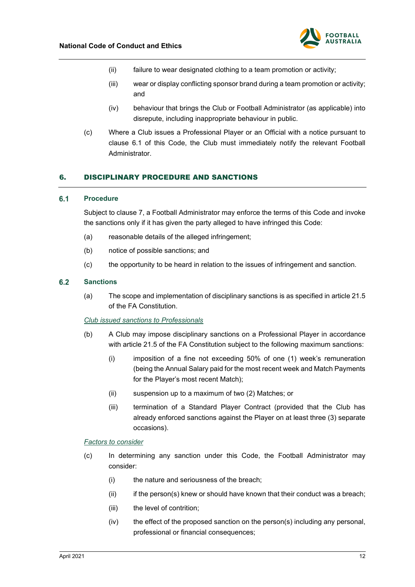

- (ii) failure to wear designated clothing to a team promotion or activity;
- (iii) wear or display conflicting sponsor brand during a team promotion or activity; and
- (iv) behaviour that brings the Club or Football Administrator (as applicable) into disrepute, including inappropriate behaviour in public.
- (c) Where a Club issues a Professional Player or an Official with a notice pursuant to clause [6.1](#page-11-1) of this Code, the Club must immediately notify the relevant Football **Administrator**

## <span id="page-11-0"></span>6. DISCIPLINARY PROCEDURE AND SANCTIONS

#### <span id="page-11-1"></span> $6.1$ **Procedure**

Subject to clause [7,](#page-13-0) a Football Administrator may enforce the terms of this Code and invoke the sanctions only if it has given the party alleged to have infringed this Code:

- (a) reasonable details of the alleged infringement;
- (b) notice of possible sanctions; and
- (c) the opportunity to be heard in relation to the issues of infringement and sanction.

#### <span id="page-11-2"></span> $6.2$ **Sanctions**

(a) The scope and implementation of disciplinary sanctions is as specified in article 21.5 of the FA Constitution.

*Club issued sanctions to Professionals*

- (b) A Club may impose disciplinary sanctions on a Professional Player in accordance with article 21.5 of the FA Constitution subject to the following maximum sanctions:
	- (i) imposition of a fine not exceeding 50% of one (1) week's remuneration (being the Annual Salary paid for the most recent week and Match Payments for the Player's most recent Match);
	- (ii) suspension up to a maximum of two (2) Matches; or
	- (iii) termination of a Standard Player Contract (provided that the Club has already enforced sanctions against the Player on at least three (3) separate occasions).

### *Factors to consider*

- (c) In determining any sanction under this Code, the Football Administrator may consider:
	- (i) the nature and seriousness of the breach;
	- (ii) if the person(s) knew or should have known that their conduct was a breach;
	- (iii) the level of contrition:
	- (iv) the effect of the proposed sanction on the person(s) including any personal, professional or financial consequences;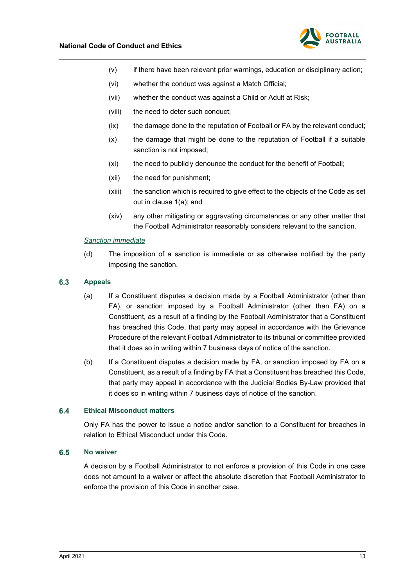

- (v) if there have been relevant prior warnings, education or disciplinary action;
- (vi) whether the conduct was against a Match Official;
- (vii) whether the conduct was against a Child or Adult at Risk;
- (viii) the need to deter such conduct;
- (ix) the damage done to the reputation of Football or FA by the relevant conduct;
- (x) the damage that might be done to the reputation of Football if a suitable sanction is not imposed;
- (xi) the need to publicly denounce the conduct for the benefit of Football;
- (xii) the need for punishment;
- (xiii) the sanction which is required to give effect to the objects of the Code as set out in clause [1\(a\);](#page-2-1) and
- (xiv) any other mitigating or aggravating circumstances or any other matter that the Football Administrator reasonably considers relevant to the sanction.

## *Sanction immediate*

(d) The imposition of a sanction is immediate or as otherwise notified by the party imposing the sanction.

#### <span id="page-12-0"></span> $6.3$ **Appeals**

- (a) If a Constituent disputes a decision made by a Football Administrator (other than FA), or sanction imposed by a Football Administrator (other than FA) on a Constituent, as a result of a finding by the Football Administrator that a Constituent has breached this Code, that party may appeal in accordance with the Grievance Procedure of the relevant Football Administrator to its tribunal or committee provided that it does so in writing within 7 business days of notice of the sanction.
- (b) If a Constituent disputes a decision made by FA, or sanction imposed by FA on a Constituent, as a result of a finding by FA that a Constituent has breached this Code, that party may appeal in accordance with the Judicial Bodies By-Law provided that it does so in writing within 7 business days of notice of the sanction.

#### <span id="page-12-1"></span>**Ethical Misconduct matters**  $6.4$

Only FA has the power to issue a notice and/or sanction to a Constituent for breaches in relation to Ethical Misconduct under this Code.

#### <span id="page-12-2"></span> $6.5$ **No waiver**

A decision by a Football Administrator to not enforce a provision of this Code in one case does not amount to a waiver or affect the absolute discretion that Football Administrator to enforce the provision of this Code in another case.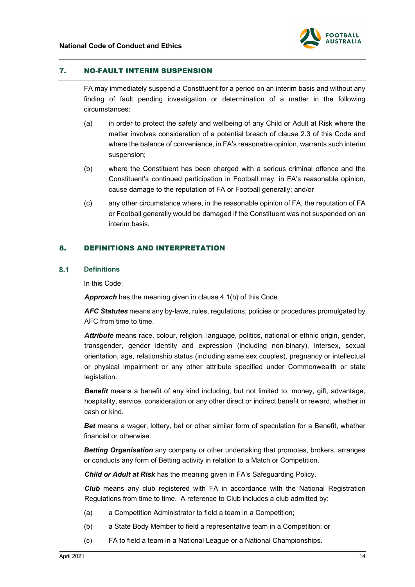

## <span id="page-13-0"></span>7. NO-FAULT INTERIM SUSPENSION

FA may immediately suspend a Constituent for a period on an interim basis and without any finding of fault pending investigation or determination of a matter in the following circumstances:

- (a) in order to protect the safety and wellbeing of any Child or Adult at Risk where the matter involves consideration of a potential breach of clause 2.3 of this Code and where the balance of convenience, in FA's reasonable opinion, warrants such interim suspension;
- (b) where the Constituent has been charged with a serious criminal offence and the Constituent's continued participation in Football may, in FA's reasonable opinion, cause damage to the reputation of FA or Football generally; and/or
- (c) any other circumstance where, in the reasonable opinion of FA, the reputation of FA or Football generally would be damaged if the Constituent was not suspended on an interim basis.

## <span id="page-13-1"></span>8. DEFINITIONS AND INTERPRETATION

#### <span id="page-13-2"></span> $8.1$ **Definitions**

In this Code:

*Approach* has the meaning given in clause [4.1\(b\)](#page-8-3) of this Code.

*AFC Statutes* means any by-laws, rules, regulations, policies or procedures promulgated by AFC from time to time.

*Attribute* means race, colour, religion, language, politics, national or ethnic origin, gender, transgender, gender identity and expression (including non-binary), intersex, sexual orientation, age, relationship status (including same sex couples), pregnancy or intellectual or physical impairment or any other attribute specified under Commonwealth or state legislation.

**Benefit** means a benefit of any kind including, but not limited to, money, gift, advantage, hospitality, service, consideration or any other direct or indirect benefit or reward, whether in cash or kind.

*Bet* means a wager, lottery, bet or other similar form of speculation for a Benefit, whether financial or otherwise.

*Betting Organisation* any company or other undertaking that promotes, brokers, arranges or conducts any form of Betting activity in relation to a Match or Competition.

*Child or Adult at Risk* has the meaning given in FA's Safeguarding Policy.

*Club* means any club registered with FA in accordance with the National Registration Regulations from time to time. A reference to Club includes a club admitted by:

- (a) a Competition Administrator to field a team in a Competition;
- (b) a State Body Member to field a representative team in a Competition; or
- (c) FA to field a team in a National League or a National Championships.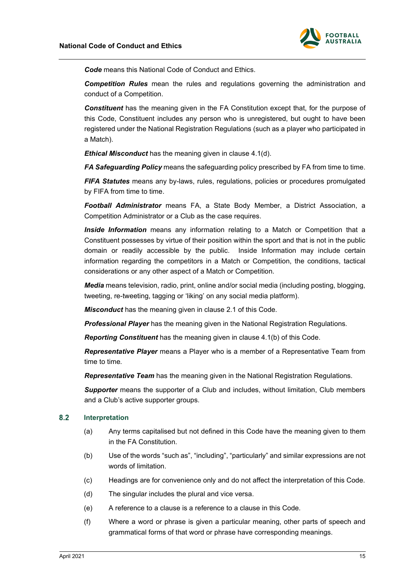

*Code* means this National Code of Conduct and Ethics.

*Competition Rules* mean the rules and regulations governing the administration and conduct of a Competition.

*Constituent* has the meaning given in the FA Constitution except that, for the purpose of this Code, Constituent includes any person who is unregistered, but ought to have been registered under the National Registration Regulations (such as a player who participated in a Match).

*Ethical Misconduct* has the meaning given in clause [4.1\(d\).](#page-8-4)

*FA Safeguarding Policy* means the safeguarding policy prescribed by FA from time to time.

*FIFA Statutes* means any by-laws, rules, regulations, policies or procedures promulgated by FIFA from time to time.

*Football Administrator* means FA, a State Body Member, a District Association, a Competition Administrator or a Club as the case requires.

*Inside Information* means any information relating to a Match or Competition that a Constituent possesses by virtue of their position within the sport and that is not in the public domain or readily accessible by the public. Inside Information may include certain information regarding the competitors in a Match or Competition, the conditions, tactical considerations or any other aspect of a Match or Competition.

*Media* means television, radio, print, online and/or social media (including posting, blogging, tweeting, re-tweeting, tagging or 'liking' on any social media platform).

*Misconduct* has the meaning given in clause [2.1](#page-3-1) of this Code.

*Professional Player* has the meaning given in the National Registration Regulations*.*

*Reporting Constituent* has the meaning given in clause [4.1\(b\)](#page-8-3) of this Code.

*Representative Player* means a Player who is a member of a Representative Team from time to time*.*

*Representative Team* has the meaning given in the National Registration Regulations*.*

**Supporter** means the supporter of a Club and includes, without limitation, Club members and a Club's active supporter groups.

#### <span id="page-14-0"></span> $8.2$ **Interpretation**

- (a) Any terms capitalised but not defined in this Code have the meaning given to them in the FA Constitution.
- (b) Use of the words "such as", "including", "particularly" and similar expressions are not words of limitation.
- (c) Headings are for convenience only and do not affect the interpretation of this Code.
- (d) The singular includes the plural and vice versa.
- (e) A reference to a clause is a reference to a clause in this Code.
- (f) Where a word or phrase is given a particular meaning, other parts of speech and grammatical forms of that word or phrase have corresponding meanings.